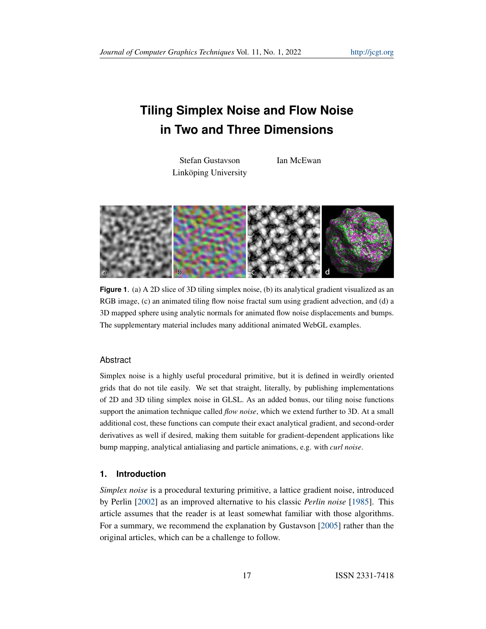# <span id="page-0-0"></span>**Tiling Simplex Noise and Flow Noise in Two and Three Dimensions**

Stefan Gustavson Linköping University Ian McEwan



**Figure 1.** (a) A 2D slice of 3D tiling simplex noise, (b) its analytical gradient visualized as an RGB image, (c) an animated tiling flow noise fractal sum using gradient advection, and (d) a 3D mapped sphere using analytic normals for animated flow noise displacements and bumps. The supplementary material includes many additional animated WebGL examples.

## Abstract

Simplex noise is a highly useful procedural primitive, but it is defined in weirdly oriented grids that do not tile easily. We set that straight, literally, by publishing implementations of 2D and 3D tiling simplex noise in GLSL. As an added bonus, our tiling noise functions support the animation technique called *flow noise*, which we extend further to 3D. At a small additional cost, these functions can compute their exact analytical gradient, and second-order derivatives as well if desired, making them suitable for gradient-dependent applications like bump mapping, analytical antialiasing and particle animations, e.g. with *curl noise*.

#### **1. Introduction**

*Simplex noise* is a procedural texturing primitive, a lattice gradient noise, introduced by Perlin [\[2002\]](#page-16-0) as an improved alternative to his classic *Perlin noise* [\[1985\]](#page-15-0). This article assumes that the reader is at least somewhat familiar with those algorithms. For a summary, we recommend the explanation by Gustavson [\[2005\]](#page-15-1) rather than the original articles, which can be a challenge to follow.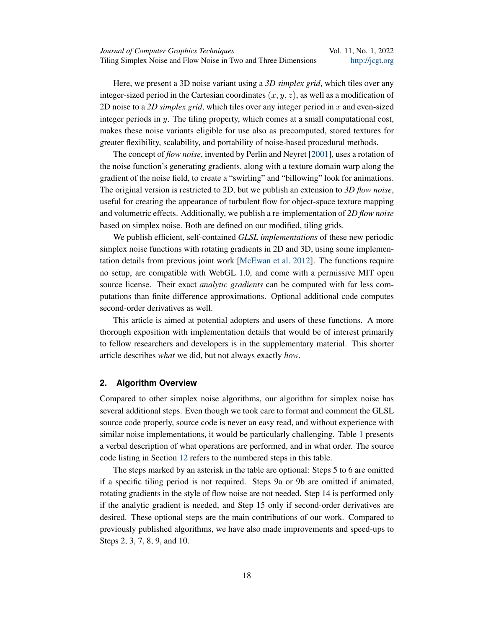<span id="page-1-0"></span>Here, we present a 3D noise variant using a *3D simplex grid*, which tiles over any integer-sized period in the Cartesian coordinates  $(x, y, z)$ , as well as a modification of 2D noise to a *2D simplex grid*, which tiles over any integer period in x and even-sized integer periods in  $y$ . The tiling property, which comes at a small computational cost, makes these noise variants eligible for use also as precomputed, stored textures for greater flexibility, scalability, and portability of noise-based procedural methods.

The concept of *flow noise*, invented by Perlin and Neyret [\[2001\]](#page-15-2), uses a rotation of the noise function's generating gradients, along with a texture domain warp along the gradient of the noise field, to create a "swirling" and "billowing" look for animations. The original version is restricted to 2D, but we publish an extension to *3D flow noise*, useful for creating the appearance of turbulent flow for object-space texture mapping and volumetric effects. Additionally, we publish a re-implementation of *2D flow noise* based on simplex noise. Both are defined on our modified, tiling grids.

We publish efficient, self-contained *GLSL implementations* of these new periodic simplex noise functions with rotating gradients in 2D and 3D, using some implementation details from previous joint work [\[McEwan et al. 2012\]](#page-15-3). The functions require no setup, are compatible with WebGL 1.0, and come with a permissive MIT open source license. Their exact *analytic gradients* can be computed with far less computations than finite difference approximations. Optional additional code computes second-order derivatives as well.

This article is aimed at potential adopters and users of these functions. A more thorough exposition with implementation details that would be of interest primarily to fellow researchers and developers is in the supplementary material. This shorter article describes *what* we did, but not always exactly *how*.

#### **2. Algorithm Overview**

Compared to other simplex noise algorithms, our algorithm for simplex noise has several additional steps. Even though we took care to format and comment the GLSL source code properly, source code is never an easy read, and without experience with similar noise implementations, it would be particularly challenging. Table [1](#page-2-0) presents a verbal description of what operations are performed, and in what order. The source code listing in Section [12](#page-11-0) refers to the numbered steps in this table.

The steps marked by an asterisk in the table are optional: Steps 5 to 6 are omitted if a specific tiling period is not required. Steps 9a or 9b are omitted if animated, rotating gradients in the style of flow noise are not needed. Step 14 is performed only if the analytic gradient is needed, and Step 15 only if second-order derivatives are desired. These optional steps are the main contributions of our work. Compared to previously published algorithms, we have also made improvements and speed-ups to Steps 2, 3, 7, 8, 9, and 10.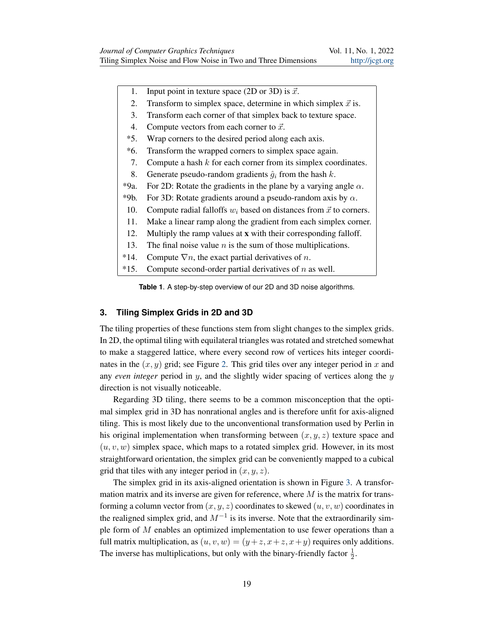- <span id="page-2-0"></span>1. Input point in texture space (2D or 3D) is  $\vec{x}$ .
- 2. Transform to simplex space, determine in which simplex  $\vec{x}$  is.
- 3. Transform each corner of that simplex back to texture space.
- 4. Compute vectors from each corner to  $\vec{x}$ .
- \*5. Wrap corners to the desired period along each axis.
- \*6. Transform the wrapped corners to simplex space again.
- 7. Compute a hash  $k$  for each corner from its simplex coordinates.
- 8. Generate pseudo-random gradients  $\hat{g}_i$  from the hash k.
- \*9a. For 2D: Rotate the gradients in the plane by a varying angle  $\alpha$ .
- \*9b. For 3D: Rotate gradients around a pseudo-random axis by  $\alpha$ .
- 10. Compute radial falloffs  $w_i$  based on distances from  $\vec{x}$  to corners.
- 11. Make a linear ramp along the gradient from each simplex corner.
- 12. Multiply the ramp values at x with their corresponding falloff.
- 13. The final noise value  $n$  is the sum of those multiplications.
- \*14. Compute  $\nabla n$ , the exact partial derivatives of *n*.
- $*15.$  Compute second-order partial derivatives of n as well.

**Table 1**. A step-by-step overview of our 2D and 3D noise algorithms.

### **3. Tiling Simplex Grids in 2D and 3D**

The tiling properties of these functions stem from slight changes to the simplex grids. In 2D, the optimal tiling with equilateral triangles was rotated and stretched somewhat to make a staggered lattice, where every second row of vertices hits integer coordinates in the  $(x, y)$  grid; see Figure [2.](#page-3-0) This grid tiles over any integer period in x and any *even integer* period in y, and the slightly wider spacing of vertices along the y direction is not visually noticeable.

Regarding 3D tiling, there seems to be a common misconception that the optimal simplex grid in 3D has nonrational angles and is therefore unfit for axis-aligned tiling. This is most likely due to the unconventional transformation used by Perlin in his original implementation when transforming between  $(x, y, z)$  texture space and  $(u, v, w)$  simplex space, which maps to a rotated simplex grid. However, in its most straightforward orientation, the simplex grid can be conveniently mapped to a cubical grid that tiles with any integer period in  $(x, y, z)$ .

The simplex grid in its axis-aligned orientation is shown in Figure [3.](#page-4-0) A transformation matrix and its inverse are given for reference, where  $M$  is the matrix for transforming a column vector from  $(x, y, z)$  coordinates to skewed  $(u, v, w)$  coordinates in the realigned simplex grid, and  $M^{-1}$  is its inverse. Note that the extraordinarily simple form of M enables an optimized implementation to use fewer operations than a full matrix multiplication, as  $(u, v, w) = (y + z, x + z, x + y)$  requires only additions. The inverse has multiplications, but only with the binary-friendly factor  $\frac{1}{2}$ .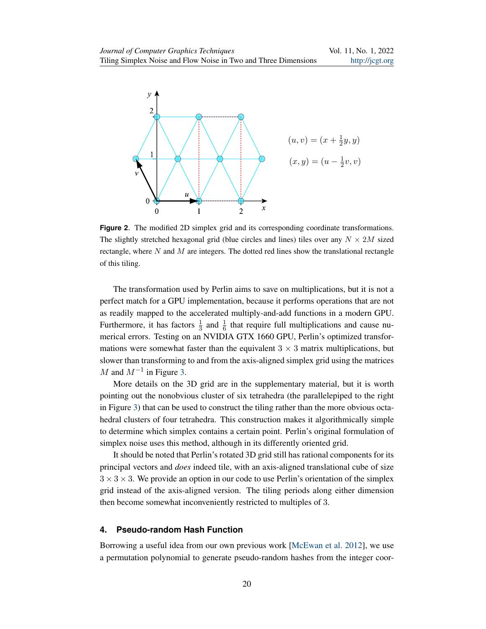<span id="page-3-1"></span><span id="page-3-0"></span>

**Figure 2**. The modified 2D simplex grid and its corresponding coordinate transformations. The slightly stretched hexagonal grid (blue circles and lines) tiles over any  $N \times 2M$  sized rectangle, where  $N$  and  $M$  are integers. The dotted red lines show the translational rectangle of this tiling.

The transformation used by Perlin aims to save on multiplications, but it is not a perfect match for a GPU implementation, because it performs operations that are not as readily mapped to the accelerated multiply-and-add functions in a modern GPU. Furthermore, it has factors  $\frac{1}{3}$  and  $\frac{1}{6}$  that require full multiplications and cause numerical errors. Testing on an NVIDIA GTX 1660 GPU, Perlin's optimized transformations were somewhat faster than the equivalent  $3 \times 3$  matrix multiplications, but slower than transforming to and from the axis-aligned simplex grid using the matrices M and  $M^{-1}$  in Figure [3.](#page-4-0)

More details on the 3D grid are in the supplementary material, but it is worth pointing out the nonobvious cluster of six tetrahedra (the parallelepiped to the right in Figure [3\)](#page-4-0) that can be used to construct the tiling rather than the more obvious octahedral clusters of four tetrahedra. This construction makes it algorithmically simple to determine which simplex contains a certain point. Perlin's original formulation of simplex noise uses this method, although in its differently oriented grid.

It should be noted that Perlin's rotated 3D grid still has rational components for its principal vectors and *does* indeed tile, with an axis-aligned translational cube of size  $3 \times 3 \times 3$ . We provide an option in our code to use Perlin's orientation of the simplex grid instead of the axis-aligned version. The tiling periods along either dimension then become somewhat inconveniently restricted to multiples of 3.

## **4. Pseudo-random Hash Function**

Borrowing a useful idea from our own previous work [\[McEwan et al. 2012\]](#page-15-3), we use a permutation polynomial to generate pseudo-random hashes from the integer coor-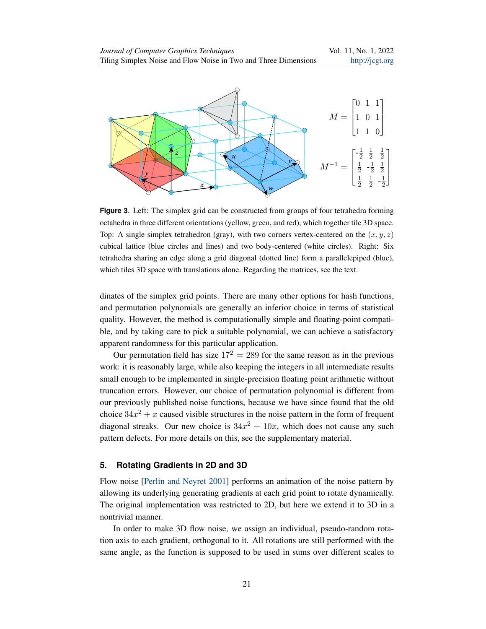<span id="page-4-1"></span><span id="page-4-0"></span>

**Figure 3**. Left: The simplex grid can be constructed from groups of four tetrahedra forming octahedra in three different orientations (yellow, green, and red), which together tile 3D space. Top: A single simplex tetrahedron (gray), with two corners vertex-centered on the  $(x, y, z)$ cubical lattice (blue circles and lines) and two body-centered (white circles). Right: Six tetrahedra sharing an edge along a grid diagonal (dotted line) form a parallelepiped (blue), which tiles 3D space with translations alone. Regarding the matrices, see the text.

dinates of the simplex grid points. There are many other options for hash functions, and permutation polynomials are generally an inferior choice in terms of statistical quality. However, the method is computationally simple and floating-point compatible, and by taking care to pick a suitable polynomial, we can achieve a satisfactory apparent randomness for this particular application.

Our permutation field has size  $17^2 = 289$  for the same reason as in the previous work: it is reasonably large, while also keeping the integers in all intermediate results small enough to be implemented in single-precision floating point arithmetic without truncation errors. However, our choice of permutation polynomial is different from our previously published noise functions, because we have since found that the old choice  $34x^2 + x$  caused visible structures in the noise pattern in the form of frequent diagonal streaks. Our new choice is  $34x^2 + 10x$ , which does not cause any such pattern defects. For more details on this, see the supplementary material.

#### **5. Rotating Gradients in 2D and 3D**

Flow noise [\[Perlin and Neyret 2001\]](#page-15-2) performs an animation of the noise pattern by allowing its underlying generating gradients at each grid point to rotate dynamically. The original implementation was restricted to 2D, but here we extend it to 3D in a nontrivial manner.

In order to make 3D flow noise, we assign an individual, pseudo-random rotation axis to each gradient, orthogonal to it. All rotations are still performed with the same angle, as the function is supposed to be used in sums over different scales to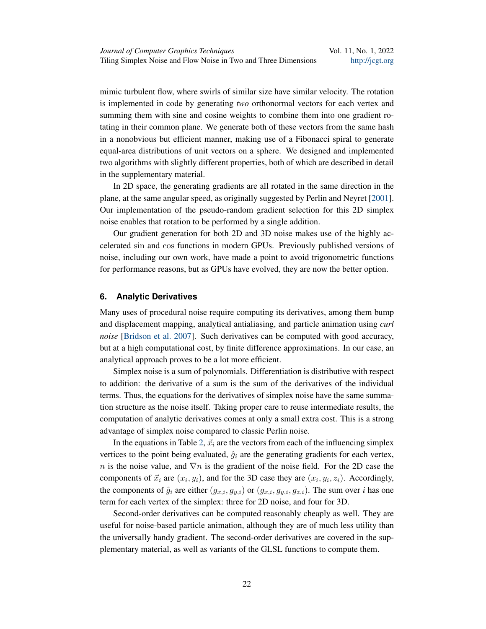<span id="page-5-0"></span>mimic turbulent flow, where swirls of similar size have similar velocity. The rotation is implemented in code by generating *two* orthonormal vectors for each vertex and summing them with sine and cosine weights to combine them into one gradient rotating in their common plane. We generate both of these vectors from the same hash in a nonobvious but efficient manner, making use of a Fibonacci spiral to generate equal-area distributions of unit vectors on a sphere. We designed and implemented two algorithms with slightly different properties, both of which are described in detail in the supplementary material.

In 2D space, the generating gradients are all rotated in the same direction in the plane, at the same angular speed, as originally suggested by Perlin and Neyret [\[2001\]](#page-15-2). Our implementation of the pseudo-random gradient selection for this 2D simplex noise enables that rotation to be performed by a single addition.

Our gradient generation for both 2D and 3D noise makes use of the highly accelerated sin and cos functions in modern GPUs. Previously published versions of noise, including our own work, have made a point to avoid trigonometric functions for performance reasons, but as GPUs have evolved, they are now the better option.

# **6. Analytic Derivatives**

Many uses of procedural noise require computing its derivatives, among them bump and displacement mapping, analytical antialiasing, and particle animation using *curl noise* [\[Bridson et al. 2007\]](#page-15-4). Such derivatives can be computed with good accuracy, but at a high computational cost, by finite difference approximations. In our case, an analytical approach proves to be a lot more efficient.

Simplex noise is a sum of polynomials. Differentiation is distributive with respect to addition: the derivative of a sum is the sum of the derivatives of the individual terms. Thus, the equations for the derivatives of simplex noise have the same summation structure as the noise itself. Taking proper care to reuse intermediate results, the computation of analytic derivatives comes at only a small extra cost. This is a strong advantage of simplex noise compared to classic Perlin noise.

In the equations in Table [2,](#page-6-0)  $\vec{x}_i$  are the vectors from each of the influencing simplex vertices to the point being evaluated,  $\hat{g}_i$  are the generating gradients for each vertex, n is the noise value, and  $\nabla n$  is the gradient of the noise field. For the 2D case the components of  $\vec{x}_i$  are  $(x_i, y_i)$ , and for the 3D case they are  $(x_i, y_i, z_i)$ . Accordingly, the components of  $\hat{g}_i$  are either  $(g_{x,i}, g_{y,i})$  or  $(g_{x,i}, g_{y,i}, g_{z,i})$ . The sum over i has one term for each vertex of the simplex: three for 2D noise, and four for 3D.

Second-order derivatives can be computed reasonably cheaply as well. They are useful for noise-based particle animation, although they are of much less utility than the universally handy gradient. The second-order derivatives are covered in the supplementary material, as well as variants of the GLSL functions to compute them.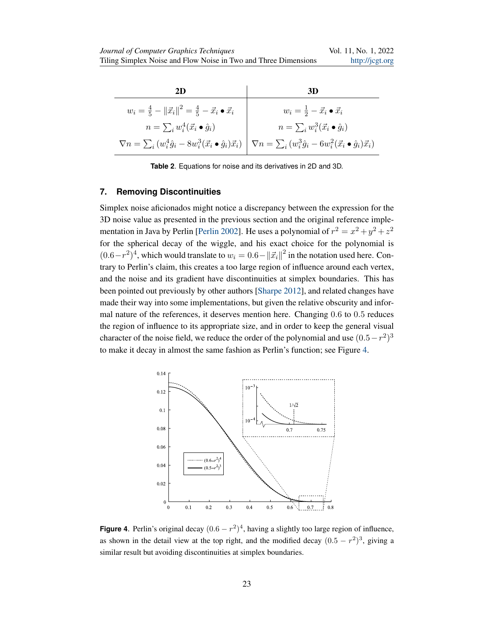<span id="page-6-2"></span><span id="page-6-0"></span>

**Table 2**. Equations for noise and its derivatives in 2D and 3D.

## **7. Removing Discontinuities**

Simplex noise aficionados might notice a discrepancy between the expression for the 3D noise value as presented in the previous section and the original reference imple-mentation in Java by Perlin [\[Perlin 2002\]](#page-16-0). He uses a polynomial of  $r^2 = x^2 + y^2 + z^2$ for the spherical decay of the wiggle, and his exact choice for the polynomial is  $(0.6-r^2)^4$ , which would translate to  $w_i = 0.6 - ||\vec{x}_i||^2$  in the notation used here. Contrary to Perlin's claim, this creates a too large region of influence around each vertex, and the noise and its gradient have discontinuities at simplex boundaries. This has been pointed out previously by other authors [\[Sharpe 2012\]](#page-16-1), and related changes have made their way into some implementations, but given the relative obscurity and informal nature of the references, it deserves mention here. Changing 0.6 to 0.5 reduces the region of influence to its appropriate size, and in order to keep the general visual character of the noise field, we reduce the order of the polynomial and use  $(0.5-r^2)^3$ to make it decay in almost the same fashion as Perlin's function; see Figure [4.](#page-6-1)

<span id="page-6-1"></span>

**Figure 4.** Perlin's original decay  $(0.6 - r^2)^4$ , having a slightly too large region of influence, as shown in the detail view at the top right, and the modified decay  $(0.5 - r^2)^3$ , giving a similar result but avoiding discontinuities at simplex boundaries.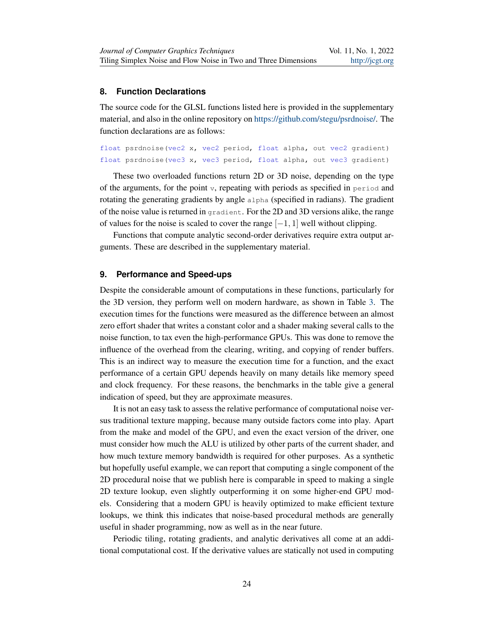## **8. Function Declarations**

The source code for the GLSL functions listed here is provided in the supplementary material, and also in the online repository on [https://github.com/stegu/psrdnoise/.](https://github.com/stegu/psrdnoise/) The function declarations are as follows:

```
float psrdnoise(vec2 x, vec2 period, float alpha, out vec2 gradient)
float psrdnoise(vec3 x, vec3 period, float alpha, out vec3 gradient)
```
These two overloaded functions return 2D or 3D noise, depending on the type of the arguments, for the point  $v$ , repeating with periods as specified in period and rotating the generating gradients by angle alpha (specified in radians). The gradient of the noise value is returned in gradient. For the 2D and 3D versions alike, the range of values for the noise is scaled to cover the range  $[-1, 1]$  well without clipping.

Functions that compute analytic second-order derivatives require extra output arguments. These are described in the supplementary material.

#### **9. Performance and Speed-ups**

Despite the considerable amount of computations in these functions, particularly for the 3D version, they perform well on modern hardware, as shown in Table [3.](#page-8-0) The execution times for the functions were measured as the difference between an almost zero effort shader that writes a constant color and a shader making several calls to the noise function, to tax even the high-performance GPUs. This was done to remove the influence of the overhead from the clearing, writing, and copying of render buffers. This is an indirect way to measure the execution time for a function, and the exact performance of a certain GPU depends heavily on many details like memory speed and clock frequency. For these reasons, the benchmarks in the table give a general indication of speed, but they are approximate measures.

It is not an easy task to assess the relative performance of computational noise versus traditional texture mapping, because many outside factors come into play. Apart from the make and model of the GPU, and even the exact version of the driver, one must consider how much the ALU is utilized by other parts of the current shader, and how much texture memory bandwidth is required for other purposes. As a synthetic but hopefully useful example, we can report that computing a single component of the 2D procedural noise that we publish here is comparable in speed to making a single 2D texture lookup, even slightly outperforming it on some higher-end GPU models. Considering that a modern GPU is heavily optimized to make efficient texture lookups, we think this indicates that noise-based procedural methods are generally useful in shader programming, now as well as in the near future.

Periodic tiling, rotating gradients, and analytic derivatives all come at an additional computational cost. If the derivative values are statically not used in computing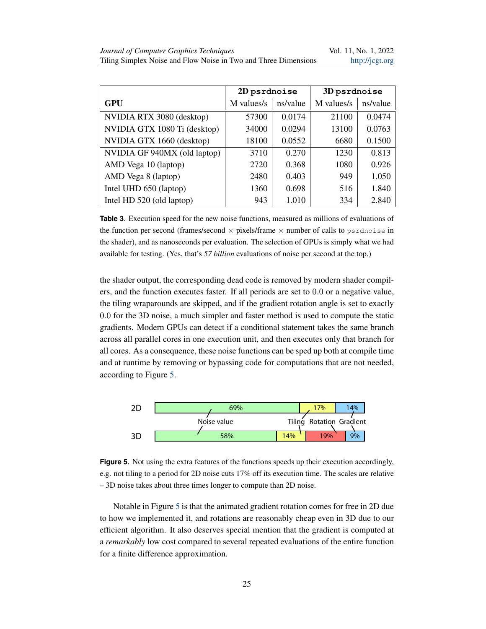<span id="page-8-0"></span>

|                              | 2D psrdnoise |          | 3D psrdnoise |          |
|------------------------------|--------------|----------|--------------|----------|
| <b>GPU</b>                   | M values/s   | ns/value | M values/s   | ns/value |
| NVIDIA RTX 3080 (desktop)    | 57300        | 0.0174   | 21100        | 0.0474   |
| NVIDIA GTX 1080 Ti (desktop) | 34000        | 0.0294   | 13100        | 0.0763   |
| NVIDIA GTX 1660 (desktop)    | 18100        | 0.0552   | 6680         | 0.1500   |
| NVIDIA GF 940MX (old laptop) | 3710         | 0.270    | 1230         | 0.813    |
| AMD Vega 10 (laptop)         | 2720         | 0.368    | 1080         | 0.926    |
| AMD Vega 8 (laptop)          | 2480         | 0.403    | 949          | 1.050    |
| Intel UHD 650 (laptop)       | 1360         | 0.698    | 516          | 1.840    |
| Intel HD 520 (old laptop)    | 943          | 1.010    | 334          | 2.840    |

**Table 3**. Execution speed for the new noise functions, measured as millions of evaluations of the function per second (frames/second  $\times$  pixels/frame  $\times$  number of calls to psrdnoise in the shader), and as nanoseconds per evaluation. The selection of GPUs is simply what we had available for testing. (Yes, that's *57 billion* evaluations of noise per second at the top.)

the shader output, the corresponding dead code is removed by modern shader compilers, and the function executes faster. If all periods are set to 0.0 or a negative value, the tiling wraparounds are skipped, and if the gradient rotation angle is set to exactly 0.0 for the 3D noise, a much simpler and faster method is used to compute the static gradients. Modern GPUs can detect if a conditional statement takes the same branch across all parallel cores in one execution unit, and then executes only that branch for all cores. As a consequence, these noise functions can be sped up both at compile time and at runtime by removing or bypassing code for computations that are not needed, according to Figure [5.](#page-8-1)

<span id="page-8-1"></span>

**Figure 5**. Not using the extra features of the functions speeds up their execution accordingly, e.g. not tiling to a period for 2D noise cuts 17% off its execution time. The scales are relative – 3D noise takes about three times longer to compute than 2D noise.

Notable in Figure [5](#page-8-1) is that the animated gradient rotation comes for free in 2D due to how we implemented it, and rotations are reasonably cheap even in 3D due to our efficient algorithm. It also deserves special mention that the gradient is computed at a *remarkably* low cost compared to several repeated evaluations of the entire function for a finite difference approximation.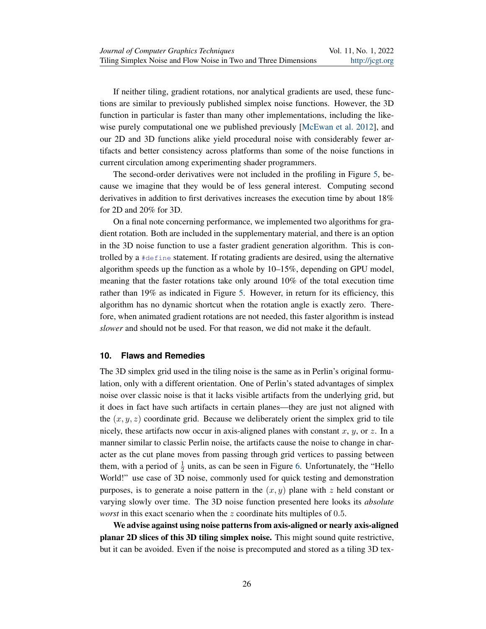<span id="page-9-0"></span>If neither tiling, gradient rotations, nor analytical gradients are used, these functions are similar to previously published simplex noise functions. However, the 3D function in particular is faster than many other implementations, including the likewise purely computational one we published previously [\[McEwan et al. 2012\]](#page-15-3), and our 2D and 3D functions alike yield procedural noise with considerably fewer artifacts and better consistency across platforms than some of the noise functions in current circulation among experimenting shader programmers.

The second-order derivatives were not included in the profiling in Figure [5,](#page-8-1) because we imagine that they would be of less general interest. Computing second derivatives in addition to first derivatives increases the execution time by about 18% for 2D and 20% for 3D.

On a final note concerning performance, we implemented two algorithms for gradient rotation. Both are included in the supplementary material, and there is an option in the 3D noise function to use a faster gradient generation algorithm. This is controlled by a #define statement. If rotating gradients are desired, using the alternative algorithm speeds up the function as a whole by 10–15%, depending on GPU model, meaning that the faster rotations take only around 10% of the total execution time rather than 19% as indicated in Figure [5.](#page-8-1) However, in return for its efficiency, this algorithm has no dynamic shortcut when the rotation angle is exactly zero. Therefore, when animated gradient rotations are not needed, this faster algorithm is instead *slower* and should not be used. For that reason, we did not make it the default.

## **10. Flaws and Remedies**

The 3D simplex grid used in the tiling noise is the same as in Perlin's original formulation, only with a different orientation. One of Perlin's stated advantages of simplex noise over classic noise is that it lacks visible artifacts from the underlying grid, but it does in fact have such artifacts in certain planes—they are just not aligned with the  $(x, y, z)$  coordinate grid. Because we deliberately orient the simplex grid to tile nicely, these artifacts now occur in axis-aligned planes with constant x, y, or z. In a manner similar to classic Perlin noise, the artifacts cause the noise to change in character as the cut plane moves from passing through grid vertices to passing between them, with a period of  $\frac{1}{2}$  units, as can be seen in Figure [6.](#page-10-0) Unfortunately, the "Hello World!" use case of 3D noise, commonly used for quick testing and demonstration purposes, is to generate a noise pattern in the  $(x, y)$  plane with z held constant or varying slowly over time. The 3D noise function presented here looks its *absolute worst* in this exact scenario when the z coordinate hits multiples of 0.5.

We advise against using noise patterns from axis-aligned or nearly axis-aligned planar 2D slices of this 3D tiling simplex noise. This might sound quite restrictive, but it can be avoided. Even if the noise is precomputed and stored as a tiling 3D tex-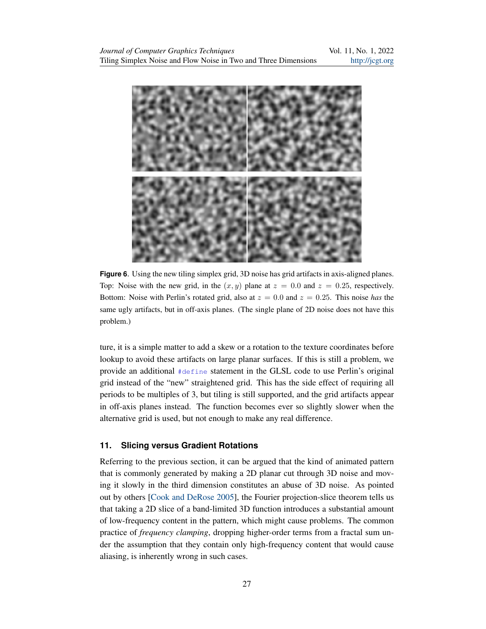<span id="page-10-1"></span><span id="page-10-0"></span>

**Figure 6.** Using the new tiling simplex grid, 3D noise has grid artifacts in axis-aligned planes. Top: Noise with the new grid, in the  $(x, y)$  plane at  $z = 0.0$  and  $z = 0.25$ , respectively. Bottom: Noise with Perlin's rotated grid, also at  $z = 0.0$  and  $z = 0.25$ . This noise *has* the same ugly artifacts, but in off-axis planes. (The single plane of 2D noise does not have this problem.)

ture, it is a simple matter to add a skew or a rotation to the texture coordinates before lookup to avoid these artifacts on large planar surfaces. If this is still a problem, we provide an additional #define statement in the GLSL code to use Perlin's original grid instead of the "new" straightened grid. This has the side effect of requiring all periods to be multiples of 3, but tiling is still supported, and the grid artifacts appear in off-axis planes instead. The function becomes ever so slightly slower when the alternative grid is used, but not enough to make any real difference.

# **11. Slicing versus Gradient Rotations**

Referring to the previous section, it can be argued that the kind of animated pattern that is commonly generated by making a 2D planar cut through 3D noise and moving it slowly in the third dimension constitutes an abuse of 3D noise. As pointed out by others [\[Cook and DeRose 2005\]](#page-15-5), the Fourier projection-slice theorem tells us that taking a 2D slice of a band-limited 3D function introduces a substantial amount of low-frequency content in the pattern, which might cause problems. The common practice of *frequency clamping*, dropping higher-order terms from a fractal sum under the assumption that they contain only high-frequency content that would cause aliasing, is inherently wrong in such cases.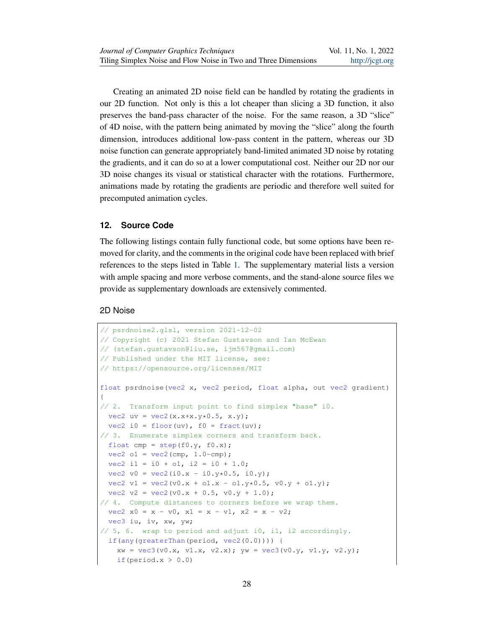Creating an animated 2D noise field can be handled by rotating the gradients in our 2D function. Not only is this a lot cheaper than slicing a 3D function, it also preserves the band-pass character of the noise. For the same reason, a 3D "slice" of 4D noise, with the pattern being animated by moving the "slice" along the fourth dimension, introduces additional low-pass content in the pattern, whereas our 3D noise function can generate appropriately band-limited animated 3D noise by rotating the gradients, and it can do so at a lower computational cost. Neither our 2D nor our 3D noise changes its visual or statistical character with the rotations. Furthermore, animations made by rotating the gradients are periodic and therefore well suited for precomputed animation cycles.

#### <span id="page-11-0"></span>**12. Source Code**

The following listings contain fully functional code, but some options have been removed for clarity, and the comments in the original code have been replaced with brief references to the steps listed in Table [1.](#page-2-0) The supplementary material lists a version with ample spacing and more verbose comments, and the stand-alone source files we provide as supplementary downloads are extensively commented.

# 2D Noise

```
// psrdnoise2.glsl, version 2021-12-02
// Copyright (c) 2021 Stefan Gustavson and Ian McEwan
// (stefan.gustavson@liu.se, ijm567@gmail.com)
// Published under the MIT license, see:
// https://opensource.org/licenses/MIT
float psrdnoise(vec2 x, vec2 period, float alpha, out vec2 gradient)
{
// 2. Transform input point to find simplex "base" i0.
 vec2 uv = vec2(x.x+x.y*0.5, x.y);vec2 i0 = floor(uv), f0 = \text{fract}(uv);
// 3. Enumerate simplex corners and transform back.
 float cmp = step(f0.y, f0.x);vec2 o1 = vec2 (cmp, 1.0-cmp);
 vec2 i1 = i0 + o1, i2 = i0 + 1.0;
 vec2 v0 = vec2(i0.x - i0.y*0.5, i0.y);vec2 v1 = vec2(v0.x + o1.x - o1.y*0.5, v0.y + o1.y);
 vec2 v2 = vec2(v0.x + 0.5, v0.y + 1.0);
// 4. Compute distances to corners before we wrap them.
 vec2 x0 = x - v0, x1 = x - v1, x2 = x - v2;
 vec3 iu, iv, xw, yw;
// 5, 6. wrap to period and adjust i0, i1, i2 accordingly.
 if(any(greaterThan(period, vec2(0.0)))) {
    xw = vec3(v0.x, v1.x, v2.x); yw = vec3(v0.y, v1.y, v2.y);if(period.x > 0.0)
```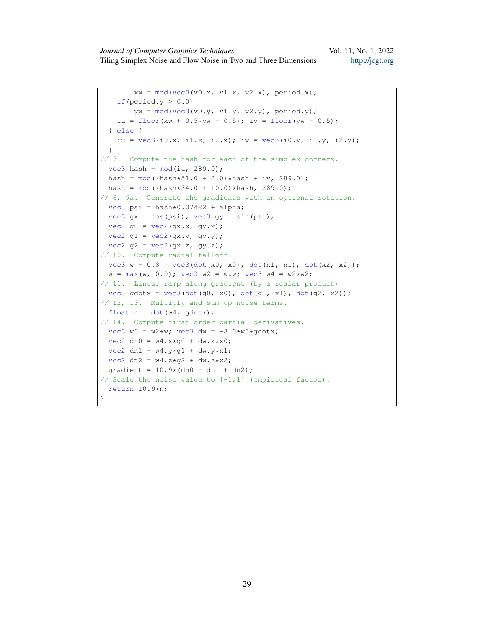```
xw = mod(vec3(v0.x, v1.x, v2.x), period.x);if(period.y > 0.0)
       yw = mod(vec3(v0.y, v1.y, v2.y), period.y);
   iu = floor(xw + 0.5*yw + 0.5); iv = floor(yw + 0.5);
 } else {
   iu = vec3(i0.x, i1.x, i2.x); iv = vec3(i0.y, i1.y, i2.y);
 }
// 7. Compute the hash for each of the simplex corners.
 vec3 hash = mod(iu, 289.0);
 hash = mod( (hash * 51.0 + 2.0) * hash + iv, 289.0);
 hash = mod( (hash*34.0 + 10.0)*hash, 289.0);// 8, 9a. Generate the gradients with an optional rotation.
 vec3 psi = hash*0.07482 + alpha;
 vec3 qx = cos(psi); vec3 qy = sin(psi);
 vec2 q0 = vec2(gx.x, gy.x);vec2 gl = vec2(gx.y, gy.y);vec2 g2 = vec2(gx.z, gy.z);// 10. Compute radial falloff.
 vec3 w = 0.8 - vec3(dot(x0, x0), dot(x1, x1), dot(x2, x2));w = max(w, 0.0); vec3 w2 = w*w; vec3 w4 = w2*w2;// 11. Linear ramp along gradient (by a scalar product)
 vec3 gdotx = vec3(dot(g0, x0), dot(g1, x1), dot(g2, x2));
// 12, 13. Multiply and sum up noise terms.
 float n = dot(w4, qdotx);// 14. Compute first-order partial derivatives.
 vec3 w3 = w2*w; vec3 dw = -8.0*w3*qdotx;
 vec2 dn0 = w4. x*q0 + dw. x* x0;vec2 dn1 = w4.y*q1 + dw.y*x1;vec2 \, dn2 = w4. z*q2 + dw. z* x2;gradient = 10.9*(dn0 + dn1 + dn2);
// Scale the noise value to [-1,1] (empirical factor).
 return 10.9*n;
}
```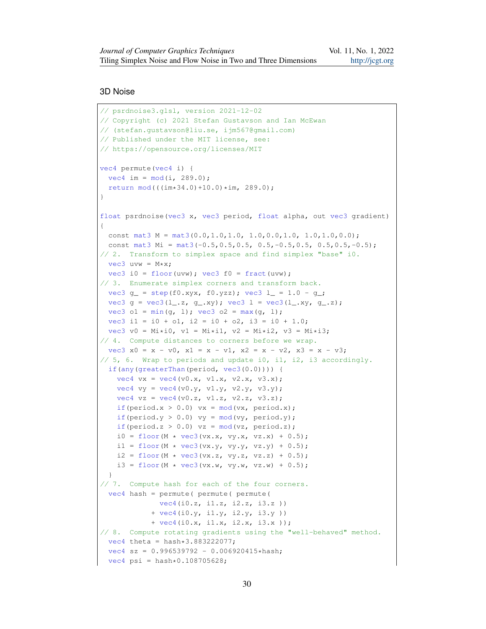# 3D Noise

```
// psrdnoise3.glsl, version 2021-12-02
// Copyright (c) 2021 Stefan Gustavson and Ian McEwan
// (stefan.gustavson@liu.se, ijm567@gmail.com)
// Published under the MIT license, see:
// https://opensource.org/licenses/MIT
vec4 permute(vec4 i) {
 vec4 \text{ im} = mod(i, 289.0);return mod(((im*34.0)+10.0)*im, 289.0);}
float psrdnoise(vec3 x, vec3 period, float alpha, out vec3 gradient)
{
 const mat3 M = mat3(0.0,1.0,1.0, 1.0,0.0,1.0, 1.0,1.0,0.0);
 const mat3 Mi = mat3(-0.5, 0.5, 0.5, 0.5, -0.5, 0.5, 0.5, 0.5, -0.5);
// 2. Transform to simplex space and find simplex "base" i0.
  vec3 uvw = M*xy;
 vec3 i0 = floor(uvw); vec3 f0 = fract(uvw);
// 3. Enumerate simplex corners and transform back.
 vec3 g_{-} = step(f0.xyx, f0.yzz); vec3 l_{-} = 1.0 - g<sub>-</sub>;
 vec3 g = \text{vec3}(l_-.z, g_.,xy); vec3 l = \text{vec3}(l_-.xy, g_.-z);
 vec3 o1 = min(q, 1); vec3 o2 = max(q, 1);
 vec3 i1 = i0 + o1, i2 = i0 + o2, i3 = i0 + 1.0;
 vec3 v0 = Mi*i0, v1 = Mi*i1, v2 = Mi*i2, v3 = Mi*i3;
// 4. Compute distances to corners before we wrap.
 vec3 x0 = x - v0, x1 = x - v1, x2 = x - v2, x3 = x - v3;
// 5, 6. Wrap to periods and update i0, i1, i2, i3 accordingly.
 if(any(greaterThan(period, vec3(0.0)))) {
   vec4 vx = vec4(v0.x, v1.x, v2.x, v3.x);
   vec4 vy = vec4(v0.y, v1.y, v2.y, v3.y);
    vec4 vz = vec4(v0.z, v1.z, v2.z, v3.z);if(period.x > 0.0) vx = mod(vx, period.x);if(period.y > 0.0) vy = mod(vy, period.y);
    if(period.z > 0.0) vz = mod(vz, period.z);
    i0 = floor(M * \text{vec3}(vx.x, vy.x, vz.x) + 0.5);
    i1 = floor(M * \text{vec3}(vx.y, vy.y, vz.y) + 0.5);
    i2 = floor(M * \text{vec3}(vx.z, vy.z, vz.z) + 0.5);
    i3 = floor(M * \text{vec3}(vx.w, vy.w, vz.w) + 0.5);
  }
// 7. Compute hash for each of the four corners.
  vec4 hash = permute( permute( permute(
              vec4(i0.z, i1.z, i2.z, i3.z ))
            + vec4(i0.y, i1.y, i2.y, i3.y ))
            + vec4(i0.x, i1.x, i2.x, i3.x ));
// 8. Compute rotating gradients using the "well-behaved" method.
 vec4 theta = hash *3.883222077;
  vec4 sz = 0.996539792 - 0.006920415*hash;vec4 psi = hash*0.108705628;
```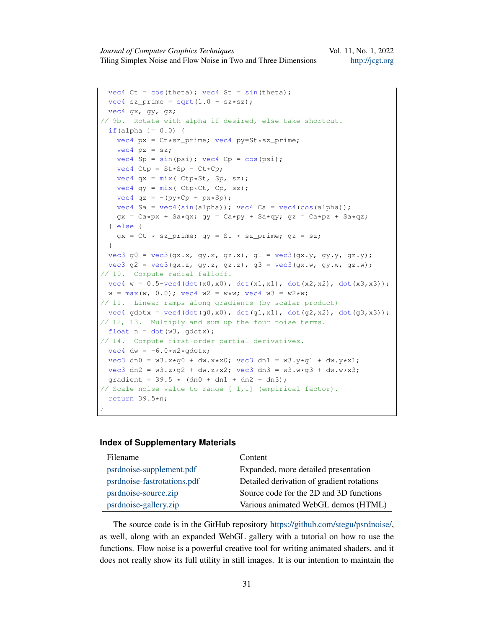```
vec4 Ct = cos(theta); vec4 St = sin(theta);
 vec4 sz_prime = sqrt(1.0 - sz*sz);
 vec4 gx, gy, gz;
// 9b. Rotate with alpha if desired, else take shortcut.
 if(alpha != 0.0) {
   vec4 px = Ct*sz_prime; vec4 py=St*sz_prime;
   vec4 pz = sz;
   vec4 Sp = sin(psi); vec4 Cp = cos(psi);
   vec4 Ctp = St * Sp - Ct * Cp;vec4 qx = mix( Ctp*St, Sp, sz);
   vec4 qy = mix(-Ctp*Ct, Cp, sz);vec4 qz = -(py*Cp + px*Sp);
   vec4 Sa = vec4 (sin(alpha)); vec4 Ca = vec4 (cos(alpha));
   gx = Ca * px + Sa * qx; qy = Ca * py + Sa * qy; qz = Ca * pz + Sa * qz;
  } else {
   gx = Ct * sz_prime; gy = St * sz_prime; gz = sz;}
 vec3 g0 = \text{vec3}(gx.x, gy.x, gz.x), g1 = \text{vec3}(gx.y, gy.y, gz.y);vec3 g2 = vec3(gx.z, gy.z, gz.z), g3 = vec3(gx.w, gy.w, gz.w);
// 10. Compute radial falloff.
 vec4 w = 0.5-vec4(dot(x0,x0), dot(x1,x1), dot(x2,x2), dot(x3,x3));
 w = max(w, 0.0); vec4 w2 = w*w; vec4 w3 = w2*w;// 11. Linear ramps along gradients (by scalar product)
 vec4 qdotx = vec4(dot(q0,x0), dot(q1,x1), dot(q2,x2), dot(q3,x3));
// 12, 13. Multiply and sum up the four noise terms.
 float n = dot(w3, qdotx);// 14. Compute first-order partial derivatives.
 vec4 dw = -6.0*w2*qdotx;vec3 dn0 = w3. x * q0 + dw. x * x0; vec3 dn1 = w3. y * q1 + dw. y * x1;
 vec3 dn2 = w3.z*g2 + dw.z*x2; vec3 dn3 = w3.w*g3 + dw.w*x3;
 qradient = 39.5 \times (dn0 + dn1 + dn2 + dn3);
// Scale noise value to range [-1,1] (empirical factor).
 return 39.5*n;
}
```
#### **Index of Supplementary Materials**

| Filename                    | Content                                   |
|-----------------------------|-------------------------------------------|
| psrdnoise-supplement.pdf    | Expanded, more detailed presentation      |
| psrdnoise-fastrotations.pdf | Detailed derivation of gradient rotations |
| psrdnoise-source.zip        | Source code for the 2D and 3D functions   |
| psrdnoise-gallery.zip       | Various animated WebGL demos (HTML)       |

The source code is in the GitHub repository [https://github.com/stegu/psrdnoise/,](https://github.com/stegu/psrdnoise/) as well, along with an expanded WebGL gallery with a tutorial on how to use the functions. Flow noise is a powerful creative tool for writing animated shaders, and it does not really show its full utility in still images. It is our intention to maintain the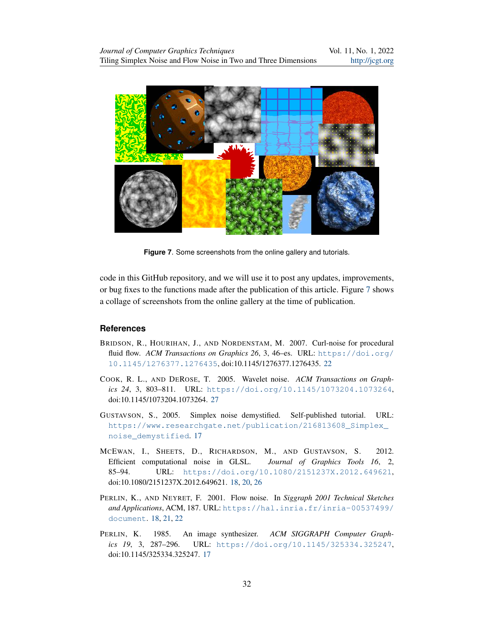<span id="page-15-6"></span>

**Figure 7**. Some screenshots from the online gallery and tutorials.

code in this GitHub repository, and we will use it to post any updates, improvements, or bug fixes to the functions made after the publication of this article. Figure [7](#page-15-6) shows a collage of screenshots from the online gallery at the time of publication.

## **References**

- <span id="page-15-4"></span>BRIDSON, R., HOURIHAN, J., AND NORDENSTAM, M. 2007. Curl-noise for procedural fluid flow. *ACM Transactions on Graphics 26*, 3, 46-es. URL: [https://doi.org/](https://doi.org/10.1145/1276377.1276435) [10.1145/1276377.1276435](https://doi.org/10.1145/1276377.1276435), doi:10.1145/1276377.1276435. [22](#page-5-0)
- <span id="page-15-5"></span>COOK, R. L., AND DEROSE, T. 2005. Wavelet noise. *ACM Transactions on Graphics 24*, 3, 803–811. URL: <https://doi.org/10.1145/1073204.1073264>, doi:10.1145/1073204.1073264. [27](#page-10-1)
- <span id="page-15-1"></span>GUSTAVSON, S., 2005. Simplex noise demystified. Self-published tutorial. URL: [https://www.researchgate.net/publication/216813608\\_Simplex\\_](https://www.researchgate.net/publication/216813608_Simplex_noise_demystified) [noise\\_demystified](https://www.researchgate.net/publication/216813608_Simplex_noise_demystified). [17](#page-0-0)
- <span id="page-15-3"></span>MCEWAN, I., SHEETS, D., RICHARDSON, M., AND GUSTAVSON, S. 2012. Efficient computational noise in GLSL. *Journal of Graphics Tools 16*, 2, 85–94. URL: <https://doi.org/10.1080/2151237X.2012.649621>, doi:10.1080/2151237X.2012.649621. [18,](#page-1-0) [20,](#page-3-1) [26](#page-9-0)
- <span id="page-15-2"></span>PERLIN, K., AND NEYRET, F. 2001. Flow noise. In *Siggraph 2001 Technical Sketches and Applications*, ACM, 187. URL: [https://hal.inria.fr/inria-00537499/](https://hal.inria.fr/inria-00537499/document) [document](https://hal.inria.fr/inria-00537499/document). [18,](#page-1-0) [21,](#page-4-1) [22](#page-5-0)
- <span id="page-15-0"></span>PERLIN, K. 1985. An image synthesizer. *ACM SIGGRAPH Computer Graphics 19*, 3, 287–296. URL: <https://doi.org/10.1145/325334.325247>, doi:10.1145/325334.325247. [17](#page-0-0)